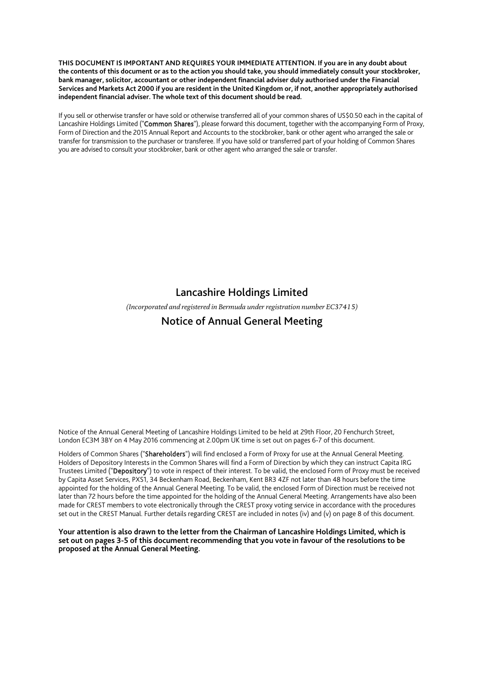**THIS DOCUMENT IS IMPORTANT AND REQUIRES YOUR IMMEDIATE ATTENTION. If you are in any doubt about the contents of this document or as to the action you should take, you should immediately consult your stockbroker, bank manager, solicitor, accountant or other independent financial adviser duly authorised under the Financial Services and Markets Act 2000 if you are resident in the United Kingdom or, if not, another appropriately authorised independent financial adviser. The whole text of this document should be read.** 

If you sell or otherwise transfer or have sold or otherwise transferred all of your common shares of US\$0.50 each in the capital of Lancashire Holdings Limited ("Common Shares"), please forward this document, together with the accompanying Form of Proxy, Form of Direction and the 2015 Annual Report and Accounts to the stockbroker, bank or other agent who arranged the sale or transfer for transmission to the purchaser or transferee. If you have sold or transferred part of your holding of Common Shares you are advised to consult your stockbroker, bank or other agent who arranged the sale or transfer.

# Lancashire Holdings Limited

*(Incorporated and registered in Bermuda under registration number EC37415)* 

# Notice of Annual General Meeting

Notice of the Annual General Meeting of Lancashire Holdings Limited to be held at 29th Floor, 20 Fenchurch Street, London EC3M 3BY on 4 May 2016 commencing at 2.00pm UK time is set out on pages 6-7 of this document.

Holders of Common Shares ("Shareholders") will find enclosed a Form of Proxy for use at the Annual General Meeting. Holders of Depository Interests in the Common Shares will find a Form of Direction by which they can instruct Capita IRG Trustees Limited ("Depository") to vote in respect of their interest. To be valid, the enclosed Form of Proxy must be received by Capita Asset Services, PXS1, 34 Beckenham Road, Beckenham, Kent BR3 4ZF not later than 48 hours before the time appointed for the holding of the Annual General Meeting. To be valid, the enclosed Form of Direction must be received not later than 72 hours before the time appointed for the holding of the Annual General Meeting. Arrangements have also been made for CREST members to vote electronically through the CREST proxy voting service in accordance with the procedures set out in the CREST Manual. Further details regarding CREST are included in notes (iv) and (v) on page 8 of this document.

**Your attention is also drawn to the letter from the Chairman of Lancashire Holdings Limited, which is set out on pages 3-5 of this document recommending that you vote in favour of the resolutions to be proposed at the Annual General Meeting.**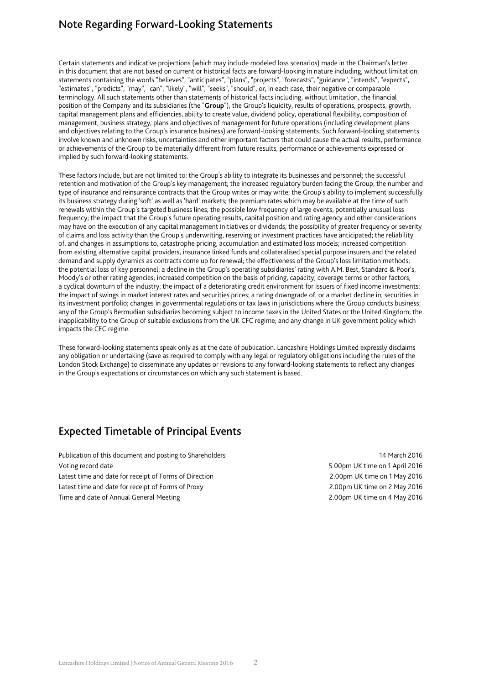# Note Regarding Forward-Looking Statements

Certain statements and indicative projections (which may include modeled loss scenarios) made in the Chairman's letter in this document that are not based on current or historical facts are forward-looking in nature including, without limitation, statements containing the words "believes", "anticipates", "plans", "projects", "forecasts", "guidance", "intends", "expects", "estimates", "predicts", "may", "can", "likely", "will", "seeks", "should", or, in each case, their negative or comparable terminology. All such statements other than statements of historical facts including, without limitation, the financial position of the Company and its subsidiaries (the "**Group**"), the Group's liquidity, results of operations, prospects, growth, capital management plans and efficiencies, ability to create value, dividend policy, operational flexibility, composition of management, business strategy, plans and objectives of management for future operations (including development plans and objectives relating to the Group's insurance business) are forward-looking statements. Such forward-looking statements involve known and unknown risks, uncertainties and other important factors that could cause the actual results, performance or achievements of the Group to be materially different from future results, performance or achievements expressed or implied by such forward-looking statements.

These factors include, but are not limited to: the Group's ability to integrate its businesses and personnel; the successful retention and motivation of the Group's key management; the increased regulatory burden facing the Group; the number and type of insurance and reinsurance contracts that the Group writes or may write; the Group's ability to implement successfully its business strategy during 'soft' as well as 'hard' markets; the premium rates which may be available at the time of such renewals within the Group's targeted business lines; the possible low frequency of large events; potentially unusual loss frequency; the impact that the Group's future operating results, capital position and rating agency and other considerations may have on the execution of any capital management initiatives or dividends; the possibility of greater frequency or severity of claims and loss activity than the Group's underwriting, reserving or investment practices have anticipated; the reliability of, and changes in assumptions to, catastrophe pricing, accumulation and estimated loss models; increased competition from existing alternative capital providers, insurance linked funds and collateralised special purpose insurers and the related demand and supply dynamics as contracts come up for renewal; the effectiveness of the Group's loss limitation methods; the potential loss of key personnel; a decline in the Group's operating subsidiaries' rating with A.M. Best, Standard & Poor's, Moody's or other rating agencies; increased competition on the basis of pricing, capacity, coverage terms or other factors; a cyclical downturn of the industry; the impact of a deteriorating credit environment for issuers of fixed income investments; the impact of swings in market interest rates and securities prices; a rating downgrade of, or a market decline in, securities in its investment portfolio; changes in governmental regulations or tax laws in jurisdictions where the Group conducts business; any of the Group's Bermudian subsidiaries becoming subject to income taxes in the United States or the United Kingdom; the inapplicability to the Group of suitable exclusions from the UK CFC regime; and any change in UK government policy which impacts the CFC regime.

These forward-looking statements speak only as at the date of publication. Lancashire Holdings Limited expressly disclaims any obligation or undertaking (save as required to comply with any legal or regulatory obligations including the rules of the London Stock Exchange) to disseminate any updates or revisions to any forward-looking statements to reflect any changes in the Group's expectations or circumstances on which any such statement is based.

### Expected Timetable of Principal Events

Publication of this document and posting to Shareholders 14 March 2016 Voting record date 5.00pm UK time on 1 April 2016 Latest time and date for receipt of Forms of Direction 2.00pm UK time on 1 May 2016 Latest time and date for receipt of Forms of Proxy 2.00pm UK time on 2 May 2016 Time and date of Annual General Meeting 2.00pm UK time on 4 May 2016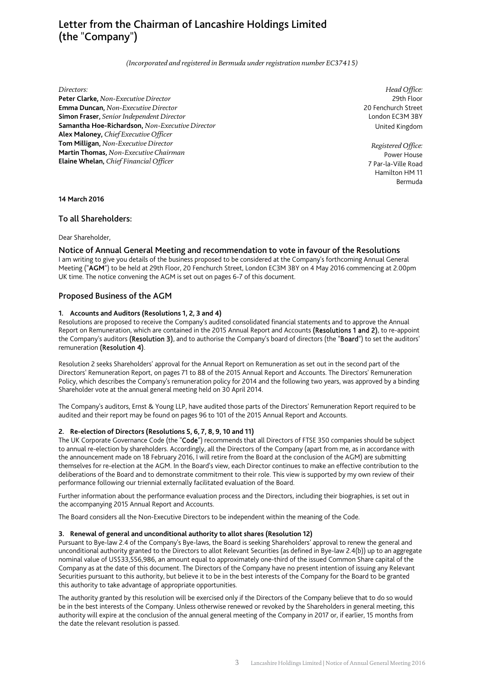# Letter from the Chairman of Lancashire Holdings Limited (the "Company")

*(Incorporated and registered in Bermuda under registration number EC37415)* 

#### *Directors:*

**Peter Clarke,** *Non-Executive Director*  **Emma Duncan,** *Non-Executive Director*  **Simon Fraser,** *Senior Independent Director*  **Samantha Hoe-Richardson,** *Non-Executive Director*  **Alex Maloney,** *Chief Executive Officer*  **Tom Milligan,** *Non-Executive Director*  **Martin Thomas,** *Non-Executive Chairman*  **Elaine Whelan,** *Chief Financial Officer* 

*Head Office:* 29th Floor 20 Fenchurch Street London EC3M 3BY United Kingdom

*Registered Office:* Power House 7 Par-la-Ville Road Hamilton HM 11 Bermuda

### **14 March 2016**

### To all Shareholders:

Dear Shareholder,

### Notice of Annual General Meeting and recommendation to vote in favour of the Resolutions

I am writing to give you details of the business proposed to be considered at the Company's forthcoming Annual General Meeting ("**AGM**") to be held at 29th Floor, 20 Fenchurch Street, London EC3M 3BY on 4 May 2016 commencing at 2.00pm UK time. The notice convening the AGM is set out on pages 6-7 of this document.

### Proposed Business of the AGM

#### **1. Accounts and Auditors (Resolutions 1, 2, 3 and 4)**

Resolutions are proposed to receive the Company's audited consolidated financial statements and to approve the Annual Report on Remuneration, which are contained in the 2015 Annual Report and Accounts (Resolutions 1 and 2), to re-appoint the Company's auditors (Resolution 3), and to authorise the Company's board of directors (the "Board") to set the auditors' remuneration (Resolution 4).

Resolution 2 seeks Shareholders' approval for the Annual Report on Remuneration as set out in the second part of the Directors' Remuneration Report, on pages 71 to 88 of the 2015 Annual Report and Accounts. The Directors' Remuneration Policy, which describes the Company's remuneration policy for 2014 and the following two years, was approved by a binding Shareholder vote at the annual general meeting held on 30 April 2014.

The Company's auditors, Ernst & Young LLP, have audited those parts of the Directors' Remuneration Report required to be audited and their report may be found on pages 96 to 101 of the 2015 Annual Report and Accounts.

### **2. Re-election of Directors (Resolutions 5, 6, 7, 8, 9, 10 and 11)**

The UK Corporate Governance Code (the "Code") recommends that all Directors of FTSE 350 companies should be subject to annual re-election by shareholders. Accordingly, all the Directors of the Company (apart from me, as in accordance with the announcement made on 18 February 2016, I will retire from the Board at the conclusion of the AGM) are submitting themselves for re-election at the AGM. In the Board's view, each Director continues to make an effective contribution to the deliberations of the Board and to demonstrate commitment to their role. This view is supported by my own review of their performance following our triennial externally facilitated evaluation of the Board.

Further information about the performance evaluation process and the Directors, including their biographies, is set out in the accompanying 2015 Annual Report and Accounts.

The Board considers all the Non-Executive Directors to be independent within the meaning of the Code.

### **3. Renewal of general and unconditional authority to allot shares (Resolution 12)**

Pursuant to Bye-law 2.4 of the Company's Bye-laws, the Board is seeking Shareholders' approval to renew the general and unconditional authority granted to the Directors to allot Relevant Securities (as defined in Bye-law 2.4(b)) up to an aggregate nominal value of US\$33,556,986, an amount equal to approximately one-third of the issued Common Share capital of the Company as at the date of this document. The Directors of the Company have no present intention of issuing any Relevant Securities pursuant to this authority, but believe it to be in the best interests of the Company for the Board to be granted this authority to take advantage of appropriate opportunities.

The authority granted by this resolution will be exercised only if the Directors of the Company believe that to do so would be in the best interests of the Company. Unless otherwise renewed or revoked by the Shareholders in general meeting, this authority will expire at the conclusion of the annual general meeting of the Company in 2017 or, if earlier, 15 months from the date the relevant resolution is passed.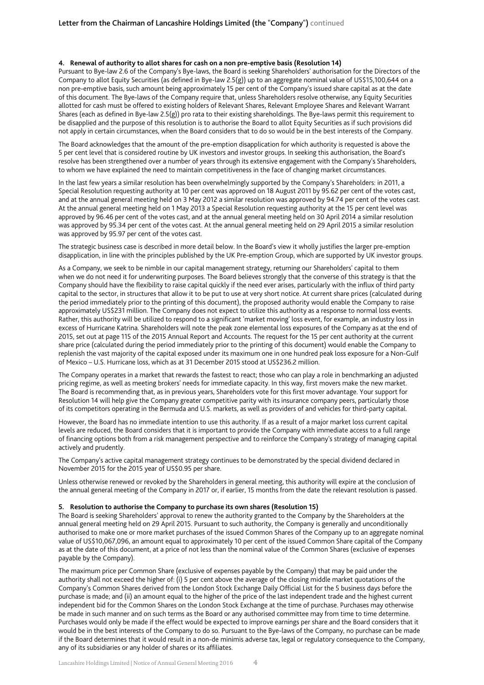#### **4. Renewal of authority to allot shares for cash on a non pre-emptive basis (Resolution 14)**

Pursuant to Bye-law 2.6 of the Company's Bye-laws, the Board is seeking Shareholders' authorisation for the Directors of the Company to allot Equity Securities (as defined in Bye-law 2.5(g)) up to an aggregate nominal value of US\$15,100,644 on a non pre-emptive basis, such amount being approximately 15 per cent of the Company's issued share capital as at the date of this document. The Bye-laws of the Company require that, unless Shareholders resolve otherwise, any Equity Securities allotted for cash must be offered to existing holders of Relevant Shares, Relevant Employee Shares and Relevant Warrant Shares (each as defined in Bye-law 2.5(g)) pro rata to their existing shareholdings. The Bye-laws permit this requirement to be disapplied and the purpose of this resolution is to authorise the Board to allot Equity Securities as if such provisions did not apply in certain circumstances, when the Board considers that to do so would be in the best interests of the Company.

The Board acknowledges that the amount of the pre-emption disapplication for which authority is requested is above the 5 per cent level that is considered routine by UK investors and investor groups. In seeking this authorisation, the Board's resolve has been strengthened over a number of years through its extensive engagement with the Company's Shareholders, to whom we have explained the need to maintain competitiveness in the face of changing market circumstances.

In the last few years a similar resolution has been overwhelmingly supported by the Company's Shareholders: in 2011, a Special Resolution requesting authority at 10 per cent was approved on 18 August 2011 by 95.62 per cent of the votes cast, and at the annual general meeting held on 3 May 2012 a similar resolution was approved by 94.74 per cent of the votes cast. At the annual general meeting held on 1 May 2013 a Special Resolution requesting authority at the 15 per cent level was approved by 96.46 per cent of the votes cast, and at the annual general meeting held on 30 April 2014 a similar resolution was approved by 95.34 per cent of the votes cast. At the annual general meeting held on 29 April 2015 a similar resolution was approved by 95.97 per cent of the votes cast.

The strategic business case is described in more detail below. In the Board's view it wholly justifies the larger pre-emption disapplication, in line with the principles published by the UK Pre-emption Group, which are supported by UK investor groups.

As a Company, we seek to be nimble in our capital management strategy, returning our Shareholders' capital to them when we do not need it for underwriting purposes. The Board believes strongly that the converse of this strategy is that the Company should have the flexibility to raise capital quickly if the need ever arises, particularly with the influx of third party capital to the sector, in structures that allow it to be put to use at very short notice. At current share prices (calculated during the period immediately prior to the printing of this document), the proposed authority would enable the Company to raise approximately US\$231 million. The Company does not expect to utilize this authority as a response to normal loss events. Rather, this authority will be utilized to respond to a significant 'market moving' loss event, for example, an industry loss in excess of Hurricane Katrina. Shareholders will note the peak zone elemental loss exposures of the Company as at the end of 2015, set out at page 115 of the 2015 Annual Report and Accounts. The request for the 15 per cent authority at the current share price (calculated during the period immediately prior to the printing of this document) would enable the Company to replenish the vast majority of the capital exposed under its maximum one in one hundred peak loss exposure for a Non-Gulf of Mexico – U.S. Hurricane loss, which as at 31 December 2015 stood at US\$236.2 million.

The Company operates in a market that rewards the fastest to react; those who can play a role in benchmarking an adjusted pricing regime, as well as meeting brokers' needs for immediate capacity. In this way, first movers make the new market. The Board is recommending that, as in previous years, Shareholders vote for this first mover advantage. Your support for Resolution 14 will help give the Company greater competitive parity with its insurance company peers, particularly those of its competitors operating in the Bermuda and U.S. markets, as well as providers of and vehicles for third-party capital.

However, the Board has no immediate intention to use this authority. If as a result of a major market loss current capital levels are reduced, the Board considers that it is important to provide the Company with immediate access to a full range of financing options both from a risk management perspective and to reinforce the Company's strategy of managing capital actively and prudently.

The Company's active capital management strategy continues to be demonstrated by the special dividend declared in November 2015 for the 2015 year of US\$0.95 per share.

Unless otherwise renewed or revoked by the Shareholders in general meeting, this authority will expire at the conclusion of the annual general meeting of the Company in 2017 or, if earlier, 15 months from the date the relevant resolution is passed.

#### **5. Resolution to authorise the Company to purchase its own shares (Resolution 15)**

The Board is seeking Shareholders' approval to renew the authority granted to the Company by the Shareholders at the annual general meeting held on 29 April 2015. Pursuant to such authority, the Company is generally and unconditionally authorised to make one or more market purchases of the issued Common Shares of the Company up to an aggregate nominal value of US\$10,067,096, an amount equal to approximately 10 per cent of the issued Common Share capital of the Company as at the date of this document, at a price of not less than the nominal value of the Common Shares (exclusive of expenses payable by the Company).

The maximum price per Common Share (exclusive of expenses payable by the Company) that may be paid under the authority shall not exceed the higher of: (i) 5 per cent above the average of the closing middle market quotations of the Company's Common Shares derived from the London Stock Exchange Daily Official List for the 5 business days before the purchase is made; and (ii) an amount equal to the higher of the price of the last independent trade and the highest current independent bid for the Common Shares on the London Stock Exchange at the time of purchase. Purchases may otherwise be made in such manner and on such terms as the Board or any authorised committee may from time to time determine. Purchases would only be made if the effect would be expected to improve earnings per share and the Board considers that it would be in the best interests of the Company to do so. Pursuant to the Bye-laws of the Company, no purchase can be made if the Board determines that it would result in a non-de minimis adverse tax, legal or regulatory consequence to the Company, any of its subsidiaries or any holder of shares or its affiliates.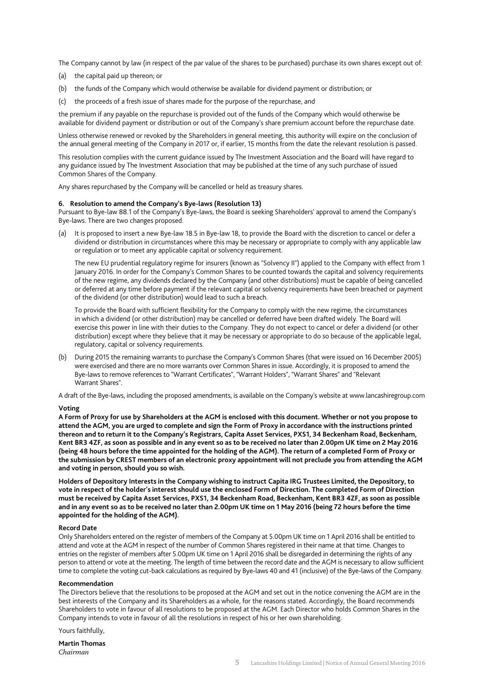The Company cannot by law (in respect of the par value of the shares to be purchased) purchase its own shares except out of:

- (a) the capital paid up thereon; or
- (b) the funds of the Company which would otherwise be available for dividend payment or distribution; or
- (c) the proceeds of a fresh issue of shares made for the purpose of the repurchase, and

the premium if any payable on the repurchase is provided out of the funds of the Company which would otherwise be available for dividend payment or distribution or out of the Company's share premium account before the repurchase date.

Unless otherwise renewed or revoked by the Shareholders in general meeting, this authority will expire on the conclusion of the annual general meeting of the Company in 2017 or, if earlier, 15 months from the date the relevant resolution is passed.

This resolution complies with the current guidance issued by The Investment Association and the Board will have regard to any guidance issued by The Investment Association that may be published at the time of any such purchase of issued Common Shares of the Company.

Any shares repurchased by the Company will be cancelled or held as treasury shares.

#### **6. Resolution to amend the Company's Bye-laws (Resolution 13)**

Pursuant to Bye-law 88.1 of the Company's Bye-laws, the Board is seeking Shareholders' approval to amend the Company's Bye-laws. There are two changes proposed.

(a) It is proposed to insert a new Bye-law 18.5 in Bye-law 18, to provide the Board with the discretion to cancel or defer a dividend or distribution in circumstances where this may be necessary or appropriate to comply with any applicable law or regulation or to meet any applicable capital or solvency requirement.

The new EU prudential regulatory regime for insurers (known as "Solvency II") applied to the Company with effect from 1 January 2016. In order for the Company's Common Shares to be counted towards the capital and solvency requirements of the new regime, any dividends declared by the Company (and other distributions) must be capable of being cancelled or deferred at any time before payment if the relevant capital or solvency requirements have been breached or payment of the dividend (or other distribution) would lead to such a breach.

To provide the Board with sufficient flexibility for the Company to comply with the new regime, the circumstances in which a dividend (or other distribution) may be cancelled or deferred have been drafted widely. The Board will exercise this power in line with their duties to the Company. They do not expect to cancel or defer a dividend (or other distribution) except where they believe that it may be necessary or appropriate to do so because of the applicable legal, regulatory, capital or solvency requirements.

(b) During 2015 the remaining warrants to purchase the Company's Common Shares (that were issued on 16 December 2005) were exercised and there are no more warrants over Common Shares in issue. Accordingly, it is proposed to amend the Bye-laws to remove references to "Warrant Certificates", "Warrant Holders", "Warrant Shares" and "Relevant Warrant Shares".

A draft of the Bye-laws, including the proposed amendments, is available on the Company's website at www.lancashiregroup.com

#### **Voting**

**A Form of Proxy for use by Shareholders at the AGM is enclosed with this document. Whether or not you propose to attend the AGM, you are urged to complete and sign the Form of Proxy in accordance with the instructions printed thereon and to return it to the Company's Registrars, Capita Asset Services, PXS1, 34 Beckenham Road, Beckenham, Kent BR3 4ZF, as soon as possible and in any event so as to be received no later than 2.00pm UK time on 2 May 2016 (being 48 hours before the time appointed for the holding of the AGM). The return of a completed Form of Proxy or the submission by CREST members of an electronic proxy appointment will not preclude you from attending the AGM and voting in person, should you so wish.** 

**Holders of Depository Interests in the Company wishing to instruct Capita IRG Trustees Limited, the Depository, to vote in respect of the holder's interest should use the enclosed Form of Direction. The completed Form of Direction must be received by Capita Asset Services, PXS1, 34 Beckenham Road, Beckenham, Kent BR3 4ZF, as soon as possible and in any event so as to be received no later than 2.00pm UK time on 1 May 2016 (being 72 hours before the time appointed for the holding of the AGM).** 

#### **Record Date**

Only Shareholders entered on the register of members of the Company at 5.00pm UK time on 1 April 2016 shall be entitled to attend and vote at the AGM in respect of the number of Common Shares registered in their name at that time. Changes to entries on the register of members after 5.00pm UK time on 1 April 2016 shall be disregarded in determining the rights of any person to attend or vote at the meeting. The length of time between the record date and the AGM is necessary to allow sufficient time to complete the voting cut-back calculations as required by Bye-laws 40 and 41 (inclusive) of the Bye-laws of the Company.

#### **Recommendation**

The Directors believe that the resolutions to be proposed at the AGM and set out in the notice convening the AGM are in the best interests of the Company and its Shareholders as a whole, for the reasons stated. Accordingly, the Board recommends Shareholders to vote in favour of all resolutions to be proposed at the AGM. Each Director who holds Common Shares in the Company intends to vote in favour of all the resolutions in respect of his or her own shareholding.

Yours faithfully,

**Martin Thomas**  *Chairman*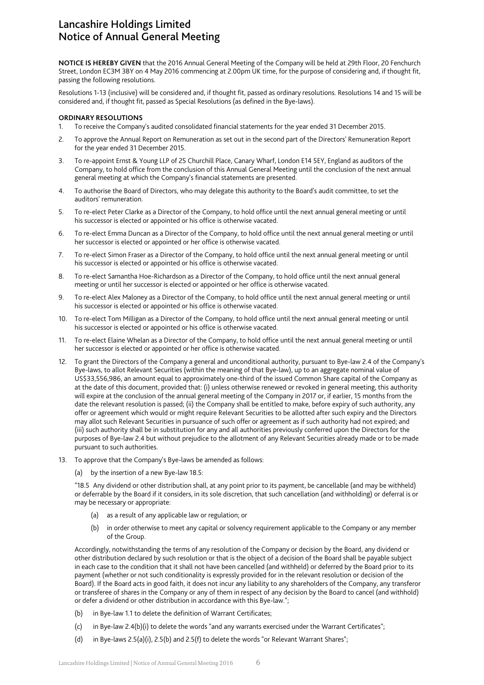# Lancashire Holdings Limited Notice of Annual General Meeting

**NOTICE IS HEREBY GIVEN** that the 2016 Annual General Meeting of the Company will be held at 29th Floor, 20 Fenchurch Street, London EC3M 3BY on 4 May 2016 commencing at 2.00pm UK time, for the purpose of considering and, if thought fit, passing the following resolutions.

Resolutions 1-13 (inclusive) will be considered and, if thought fit, passed as ordinary resolutions. Resolutions 14 and 15 will be considered and, if thought fit, passed as Special Resolutions (as defined in the Bye-laws).

### **ORDINARY RESOLUTIONS**

- 1. To receive the Company's audited consolidated financial statements for the year ended 31 December 2015.
- 2. To approve the Annual Report on Remuneration as set out in the second part of the Directors' Remuneration Report for the year ended 31 December 2015.
- 3. To re-appoint Ernst & Young LLP of 25 Churchill Place, Canary Wharf, London E14 5EY, England as auditors of the Company, to hold office from the conclusion of this Annual General Meeting until the conclusion of the next annual general meeting at which the Company's financial statements are presented.
- 4. To authorise the Board of Directors, who may delegate this authority to the Board's audit committee, to set the auditors' remuneration.
- 5. To re-elect Peter Clarke as a Director of the Company, to hold office until the next annual general meeting or until his successor is elected or appointed or his office is otherwise vacated.
- 6. To re-elect Emma Duncan as a Director of the Company, to hold office until the next annual general meeting or until her successor is elected or appointed or her office is otherwise vacated.
- 7. To re-elect Simon Fraser as a Director of the Company, to hold office until the next annual general meeting or until his successor is elected or appointed or his office is otherwise vacated.
- 8. To re-elect Samantha Hoe-Richardson as a Director of the Company, to hold office until the next annual general meeting or until her successor is elected or appointed or her office is otherwise vacated.
- 9. To re-elect Alex Maloney as a Director of the Company, to hold office until the next annual general meeting or until his successor is elected or appointed or his office is otherwise vacated.
- 10. To re-elect Tom Milligan as a Director of the Company, to hold office until the next annual general meeting or until his successor is elected or appointed or his office is otherwise vacated.
- 11. To re-elect Elaine Whelan as a Director of the Company, to hold office until the next annual general meeting or until her successor is elected or appointed or her office is otherwise vacated.
- 12. To grant the Directors of the Company a general and unconditional authority, pursuant to Bye-law 2.4 of the Company's Bye-laws, to allot Relevant Securities (within the meaning of that Bye-law), up to an aggregate nominal value of US\$33,556,986, an amount equal to approximately one-third of the issued Common Share capital of the Company as at the date of this document, provided that: (i) unless otherwise renewed or revoked in general meeting, this authority will expire at the conclusion of the annual general meeting of the Company in 2017 or, if earlier, 15 months from the date the relevant resolution is passed; (ii) the Company shall be entitled to make, before expiry of such authority, any offer or agreement which would or might require Relevant Securities to be allotted after such expiry and the Directors may allot such Relevant Securities in pursuance of such offer or agreement as if such authority had not expired; and (iii) such authority shall be in substitution for any and all authorities previously conferred upon the Directors for the purposes of Bye-law 2.4 but without prejudice to the allotment of any Relevant Securities already made or to be made pursuant to such authorities.
- 13. To approve that the Company's Bye-laws be amended as follows:
	- (a) by the insertion of a new Bye-law 18.5:

"18.5 Any dividend or other distribution shall, at any point prior to its payment, be cancellable (and may be withheld) or deferrable by the Board if it considers, in its sole discretion, that such cancellation (and withholding) or deferral is or may be necessary or appropriate:

- (a) as a result of any applicable law or regulation; or
- (b) in order otherwise to meet any capital or solvency requirement applicable to the Company or any member of the Group.

Accordingly, notwithstanding the terms of any resolution of the Company or decision by the Board, any dividend or other distribution declared by such resolution or that is the object of a decision of the Board shall be payable subject in each case to the condition that it shall not have been cancelled (and withheld) or deferred by the Board prior to its payment (whether or not such conditionality is expressly provided for in the relevant resolution or decision of the Board). If the Board acts in good faith, it does not incur any liability to any shareholders of the Company, any transferor or transferee of shares in the Company or any of them in respect of any decision by the Board to cancel (and withhold) or defer a dividend or other distribution in accordance with this Bye-law.";

- (b) in Bye-law 1.1 to delete the definition of Warrant Certificates;
- (c) in Bye-law 2.4(b)(i) to delete the words "and any warrants exercised under the Warrant Certificates";
- (d) in Bye-laws 2.5(a)(i), 2.5(b) and 2.5(f) to delete the words "or Relevant Warrant Shares";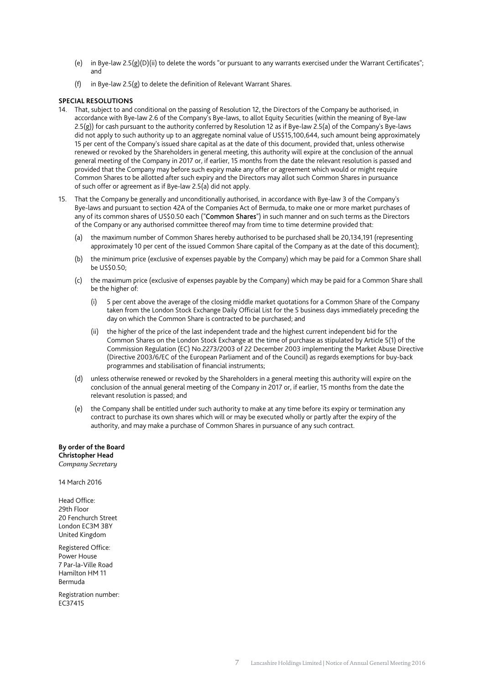- (e) in Bye-law 2.5(g)(D)(ii) to delete the words "or pursuant to any warrants exercised under the Warrant Certificates"; and
- (f) in Bye-law 2.5(g) to delete the definition of Relevant Warrant Shares.

#### **SPECIAL RESOLUTIONS**

- 14. That, subject to and conditional on the passing of Resolution 12, the Directors of the Company be authorised, in accordance with Bye-law 2.6 of the Company's Bye-laws, to allot Equity Securities (within the meaning of Bye-law 2.5(g)) for cash pursuant to the authority conferred by Resolution 12 as if Bye-law 2.5(a) of the Company's Bye-laws did not apply to such authority up to an aggregate nominal value of US\$15,100,644, such amount being approximately 15 per cent of the Company's issued share capital as at the date of this document, provided that, unless otherwise renewed or revoked by the Shareholders in general meeting, this authority will expire at the conclusion of the annual general meeting of the Company in 2017 or, if earlier, 15 months from the date the relevant resolution is passed and provided that the Company may before such expiry make any offer or agreement which would or might require Common Shares to be allotted after such expiry and the Directors may allot such Common Shares in pursuance of such offer or agreement as if Bye-law 2.5(a) did not apply.
- 15. That the Company be generally and unconditionally authorised, in accordance with Bye-law 3 of the Company's Bye-laws and pursuant to section 42A of the Companies Act of Bermuda, to make one or more market purchases of any of its common shares of US\$0.50 each ("Common Shares") in such manner and on such terms as the Directors of the Company or any authorised committee thereof may from time to time determine provided that:
	- (a) the maximum number of Common Shares hereby authorised to be purchased shall be 20,134,191 (representing approximately 10 per cent of the issued Common Share capital of the Company as at the date of this document);
	- (b) the minimum price (exclusive of expenses payable by the Company) which may be paid for a Common Share shall be US\$0.50;
	- (c) the maximum price (exclusive of expenses payable by the Company) which may be paid for a Common Share shall be the higher of:
		- (i) 5 per cent above the average of the closing middle market quotations for a Common Share of the Company taken from the London Stock Exchange Daily Official List for the 5 business days immediately preceding the day on which the Common Share is contracted to be purchased; and
		- (ii) the higher of the price of the last independent trade and the highest current independent bid for the Common Shares on the London Stock Exchange at the time of purchase as stipulated by Article 5(1) of the Commission Regulation (EC) No.2273/2003 of 22 December 2003 implementing the Market Abuse Directive (Directive 2003/6/EC of the European Parliament and of the Council) as regards exemptions for buy-back programmes and stabilisation of financial instruments;
	- (d) unless otherwise renewed or revoked by the Shareholders in a general meeting this authority will expire on the conclusion of the annual general meeting of the Company in 2017 or, if earlier, 15 months from the date the relevant resolution is passed; and
	- (e) the Company shall be entitled under such authority to make at any time before its expiry or termination any contract to purchase its own shares which will or may be executed wholly or partly after the expiry of the authority, and may make a purchase of Common Shares in pursuance of any such contract.

**By order of the Board Christopher Head**  *Company Secretary* 

14 March 2016

Head Office: 29th Floor 20 Fenchurch Street London EC3M 3BY United Kingdom

Registered Office: Power House 7 Par-la-Ville Road Hamilton HM 11 Bermuda

Registration number: EC37415